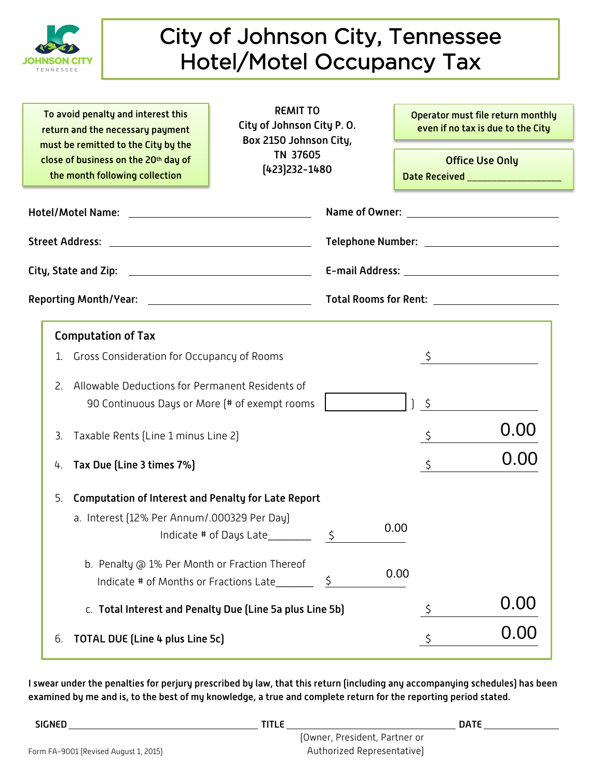

## City of Johnson City, Tennessee Hotel/Motel Occupancy Tax

To avoid penalty and interest this return and the necessary payment must be remitted to the City by the close of business on the 20th day of the month following collection

REMIT TO City of Johnson City P. O. Box 2150 Johnson City, TN 37605 (423)232-1480

Operator must file return monthly even if no tax is due to the City

0.00

Office Use Only Date Received \_

|  |                                                                                                        | Name of Owner: and the state of the state of the state of the state of the state of the state of the state of the state of the state of the state of the state of the state of the state of the state of the state of the stat |      |  |
|--|--------------------------------------------------------------------------------------------------------|--------------------------------------------------------------------------------------------------------------------------------------------------------------------------------------------------------------------------------|------|--|
|  |                                                                                                        | Telephone Number: ____________________________                                                                                                                                                                                 |      |  |
|  |                                                                                                        |                                                                                                                                                                                                                                |      |  |
|  |                                                                                                        |                                                                                                                                                                                                                                |      |  |
|  | <b>Computation of Tax</b>                                                                              |                                                                                                                                                                                                                                |      |  |
|  | Gross Consideration for Occupancy of Rooms<br>1.                                                       |                                                                                                                                                                                                                                |      |  |
|  | Allowable Deductions for Permanent Residents of<br>2.<br>90 Continuous Days or More (# of exempt rooms | $\zeta$                                                                                                                                                                                                                        |      |  |
|  | Taxable Rents (Line 1 minus Line 2)<br>3.                                                              | $\zeta$                                                                                                                                                                                                                        | 0.00 |  |
|  | Tax Due [Line 3 times 7%]<br>4.                                                                        | $\zeta$                                                                                                                                                                                                                        | 0.00 |  |
|  | <b>Computation of Interest and Penalty for Late Report</b><br>5.                                       |                                                                                                                                                                                                                                |      |  |
|  | a. Interest (12% Per Annum/.000329 Per Day)                                                            | 0.00                                                                                                                                                                                                                           |      |  |
|  | b. Penalty @ 1% Per Month or Fraction Thereof<br>Indicate # of Months or Fractions Late $\frac{5}{2}$  | 0.00                                                                                                                                                                                                                           |      |  |
|  | C. Total Interest and Penalty Due (Line 5a plus Line 5b)                                               | \$                                                                                                                                                                                                                             |      |  |

6. **TOTAL DUE (Line 4 plus Line 5c)**  $\zeta$ 

I swear under the penalties for perjury prescribed by law, that this return (including any accompanying schedules) has been examined by me and is, to the best of my knowledge, a true and complete return for the reporting period stated.

| SIGNED                                | <b>TITLE</b> |                               | DATE |  |
|---------------------------------------|--------------|-------------------------------|------|--|
|                                       |              | (Owner, President, Partner or |      |  |
| Form FA-9001 (Revised August 1, 2015) |              | Authorized Representative)    |      |  |